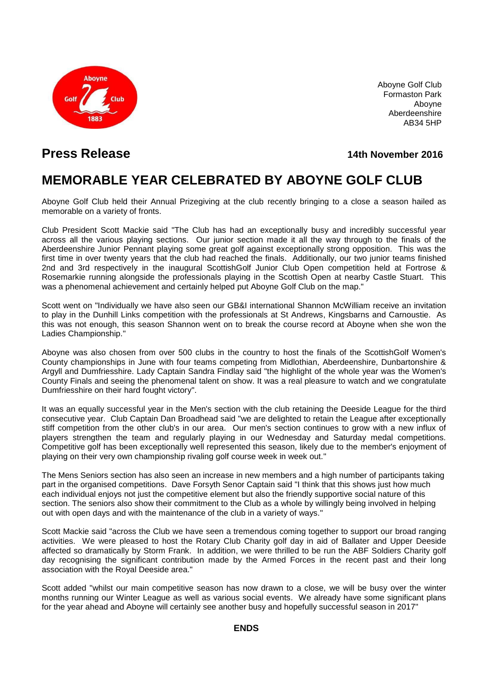

Aboyne Golf Club Formaston Park Aboyne Aberdeenshire AB34 5HP

## **Press Release 14th November 2016**

# **MEMORABLE YEAR CELEBRATED BY ABOYNE GOLF CLUB**

Aboyne Golf Club held their Annual Prizegiving at the club recently bringing to a close a season hailed as memorable on a variety of fronts.

Club President Scott Mackie said "The Club has had an exceptionally busy and incredibly successful year across all the various playing sections. Our junior section made it all the way through to the finals of the Aberdeenshire Junior Pennant playing some great golf against exceptionally strong opposition. This was the first time in over twenty years that the club had reached the finals. Additionally, our two junior teams finished 2nd and 3rd respectively in the inaugural ScottishGolf Junior Club Open competition held at Fortrose & Rosemarkie running alongside the professionals playing in the Scottish Open at nearby Castle Stuart. This was a phenomenal achievement and certainly helped put Aboyne Golf Club on the map."

Scott went on "Individually we have also seen our GB&I international Shannon McWilliam receive an invitation to play in the Dunhill Links competition with the professionals at St Andrews, Kingsbarns and Carnoustie. As this was not enough, this season Shannon went on to break the course record at Aboyne when she won the Ladies Championship."

Aboyne was also chosen from over 500 clubs in the country to host the finals of the ScottishGolf Women's County championships in June with four teams competing from Midlothian, Aberdeenshire, Dunbartonshire & Argyll and Dumfriesshire. Lady Captain Sandra Findlay said "the highlight of the whole year was the Women's County Finals and seeing the phenomenal talent on show. It was a real pleasure to watch and we congratulate Dumfriesshire on their hard fought victory".

It was an equally successful year in the Men's section with the club retaining the Deeside League for the third consecutive year. Club Captain Dan Broadhead said "we are delighted to retain the League after exceptionally stiff competition from the other club's in our area. Our men's section continues to grow with a new influx of players strengthen the team and regularly playing in our Wednesday and Saturday medal competitions. Competitive golf has been exceptionally well represented this season, likely due to the member's enjoyment of playing on their very own championship rivaling golf course week in week out."

The Mens Seniors section has also seen an increase in new members and a high number of participants taking part in the organised competitions. Dave Forsyth Senor Captain said "I think that this shows just how much each individual enjoys not just the competitive element but also the friendly supportive social nature of this section. The seniors also show their commitment to the Club as a whole by willingly being involved in helping out with open days and with the maintenance of the club in a variety of ways."

Scott Mackie said "across the Club we have seen a tremendous coming together to support our broad ranging activities. We were pleased to host the Rotary Club Charity golf day in aid of Ballater and Upper Deeside affected so dramatically by Storm Frank. In addition, we were thrilled to be run the ABF Soldiers Charity golf day recognising the significant contribution made by the Armed Forces in the recent past and their long association with the Royal Deeside area."

Scott added "whilst our main competitive season has now drawn to a close, we will be busy over the winter months running our Winter League as well as various social events. We already have some significant plans for the year ahead and Aboyne will certainly see another busy and hopefully successful season in 2017"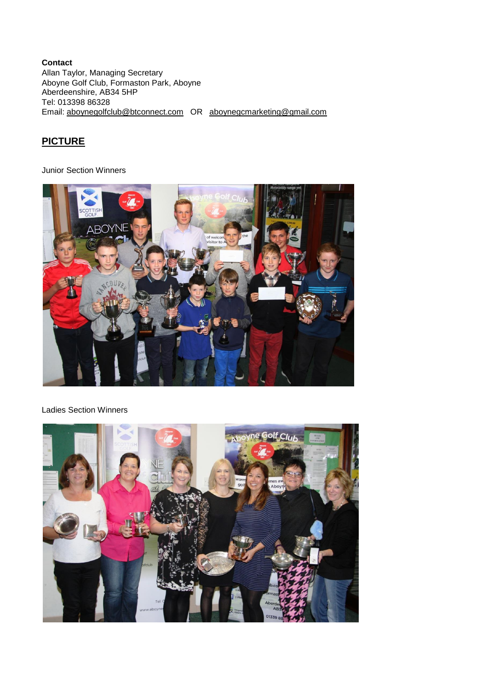#### **Contact** Allan Taylor, Managing Secretary Aboyne Golf Club, Formaston Park, Aboyne Aberdeenshire, AB34 5HP Tel: 013398 86328 Email: [aboynegolfclub@btconnect.com](mailto:aboynegolfclub@btconnect.com) OR [aboynegcmarketing@gmail.com](mailto:aboynegcmarketing@gmail.com)

## **PICTURE**

Junior Section Winners



### Ladies Section Winners